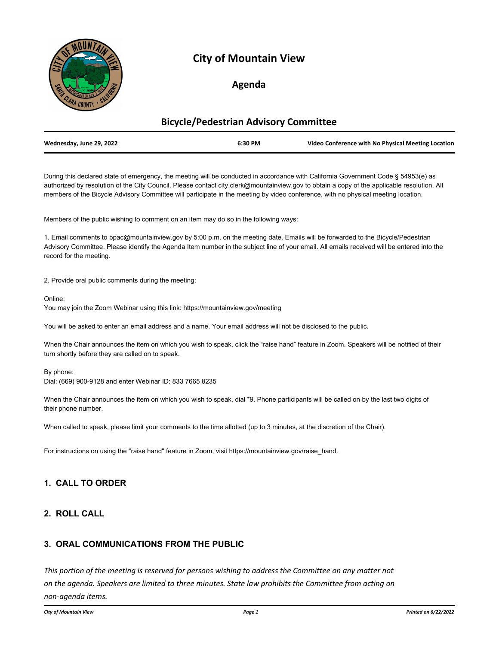

## **City of Mountain View**

## **Agenda**

# **Bicycle/Pedestrian Advisory Committee Wednesday, June 29, 2022 6:30 PM Video Conference with No Physical Meeting Location**

During this declared state of emergency, the meeting will be conducted in accordance with California Government Code § 54953(e) as authorized by resolution of the City Council. Please contact city.clerk@mountainview.gov to obtain a copy of the applicable resolution. All members of the Bicycle Advisory Committee will participate in the meeting by video conference, with no physical meeting location.

Members of the public wishing to comment on an item may do so in the following ways:

1. Email comments to bpac@mountainview.gov by 5:00 p.m. on the meeting date. Emails will be forwarded to the Bicycle/Pedestrian Advisory Committee. Please identify the Agenda Item number in the subject line of your email. All emails received will be entered into the record for the meeting.

2. Provide oral public comments during the meeting:

Online:

You may join the Zoom Webinar using this link: https://mountainview.gov/meeting

You will be asked to enter an email address and a name. Your email address will not be disclosed to the public.

When the Chair announces the item on which you wish to speak, click the "raise hand" feature in Zoom. Speakers will be notified of their turn shortly before they are called on to speak.

By phone:

Dial: (669) 900-9128 and enter Webinar ID: 833 7665 8235

When the Chair announces the item on which you wish to speak, dial \*9. Phone participants will be called on by the last two digits of their phone number.

When called to speak, please limit your comments to the time allotted (up to 3 minutes, at the discretion of the Chair).

For instructions on using the "raise hand" feature in Zoom, visit https://mountainview.gov/raise\_hand.

#### **1. CALL TO ORDER**

#### **2. ROLL CALL**

#### **3. ORAL COMMUNICATIONS FROM THE PUBLIC**

*This portion of the meeting is reserved for persons wishing to address the Committee on any matter not on the agenda. Speakers are limited to three minutes. State law prohibits the Committee from acting on non-agenda items.*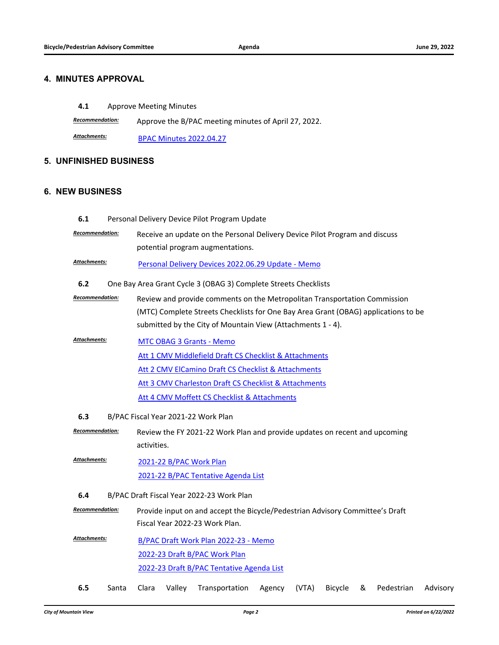#### **4. MINUTES APPROVAL**

**4.1** [Approve Meeting Minutes](http://mountainview.legistar.com/gateway.aspx?m=l&id=/matter.aspx?key=6631)

*Recommendation:* Approve the B/PAC meeting minutes of April 27, 2022.

[BPAC Minutes 2022.04.27](http://mountainview.legistar.com/gateway.aspx?M=F&ID=18ac4d16-8985-4126-8676-3544d9934df7.pdf) *Attachments:*

#### **5. UNFINISHED BUSINESS**

#### **6. NEW BUSINESS**

| 6.1                                        | Personal Delivery Device Pilot Program Update                                                    |
|--------------------------------------------|--------------------------------------------------------------------------------------------------|
| Recommendation:                            | Receive an update on the Personal Delivery Device Pilot Program and discuss                      |
|                                            | potential program augmentations.                                                                 |
| Attachments:                               | Personal Delivery Devices 2022.06.29 Update - Memo                                               |
| 6.2                                        | One Bay Area Grant Cycle 3 (OBAG 3) Complete Streets Checklists                                  |
| Recommendation:                            | Review and provide comments on the Metropolitan Transportation Commission                        |
|                                            | (MTC) Complete Streets Checklists for One Bay Area Grant (OBAG) applications to be               |
|                                            | submitted by the City of Mountain View (Attachments 1 - 4).                                      |
| <b>Attachments:</b>                        | <b>MTC OBAG 3 Grants - Memo</b>                                                                  |
|                                            | Att 1 CMV Middlefield Draft CS Checklist & Attachments                                           |
|                                            | Att 2 CMV ElCamino Draft CS Checklist & Attachments                                              |
|                                            | Att 3 CMV Charleston Draft CS Checklist & Attachments                                            |
|                                            | Att 4 CMV Moffett CS Checklist & Attachments                                                     |
| 6.3<br>B/PAC Fiscal Year 2021-22 Work Plan |                                                                                                  |
| Recommendation:                            | Review the FY 2021-22 Work Plan and provide updates on recent and upcoming                       |
|                                            | activities.                                                                                      |
| Attachments:                               | 2021-22 B/PAC Work Plan                                                                          |
|                                            | 2021-22 B/PAC Tentative Agenda List                                                              |
| 6.4                                        | B/PAC Draft Fiscal Year 2022-23 Work Plan                                                        |
|                                            | $Recommendation:$ Drovide input on and accont the Picycle (Dedectrian Advisory Committee's Draft |

*Recommendation:* Provide input on and accept the Bicycle/Pedestrian Advisory Committee's Draft Fiscal Year 2022-23 Work Plan.

- [B/PAC Draft Work Plan 2022-23 Memo](http://mountainview.legistar.com/gateway.aspx?M=F&ID=0668dd3f-23ca-4b45-b52e-44704a4e0779.pdf) [2022-23 Draft B/PAC Work Plan](http://mountainview.legistar.com/gateway.aspx?M=F&ID=72d532a9-563e-4cbe-af06-70e7ad9814ea.pdf) [2022-23 Draft B/PAC Tentative Agenda List](http://mountainview.legistar.com/gateway.aspx?M=F&ID=cd2a4f24-8e1f-4b18-8749-5bfef8501b28.pdf) *Attachments:*
- **6.5** [Santa Clara Valley Transportation Agency \(VTA\) Bicycle & Pedestrian Advisory](http://mountainview.legistar.com/gateway.aspx?m=l&id=/matter.aspx?key=6638)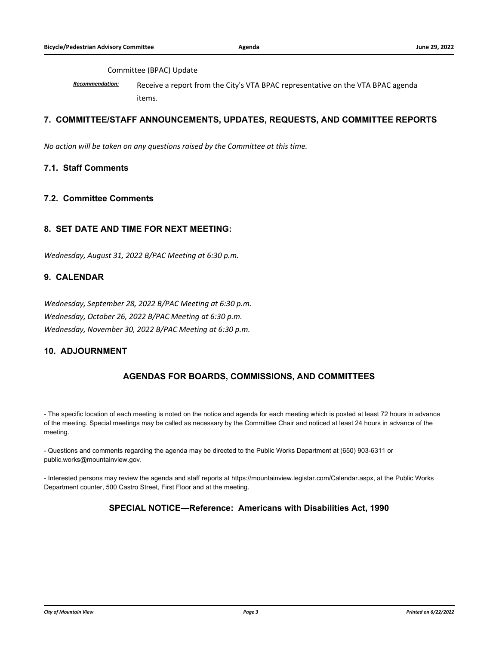#### [Committee \(BPAC\) Update](http://mountainview.legistar.com/gateway.aspx?m=l&id=/matter.aspx?key=6638)

*Recommendation:* Receive a report from the City's VTA BPAC representative on the VTA BPAC agenda items.

#### **7. COMMITTEE/STAFF ANNOUNCEMENTS, UPDATES, REQUESTS, AND COMMITTEE REPORTS**

*No action will be taken on any questions raised by the Committee at this time.*

#### **7.1. Staff Comments**

#### **7.2. Committee Comments**

#### **8. SET DATE AND TIME FOR NEXT MEETING:**

*Wednesday, August 31, 2022 B/PAC Meeting at 6:30 p.m.*

#### **9. CALENDAR**

*Wednesday, September 28, 2022 B/PAC Meeting at 6:30 p.m. Wednesday, October 26, 2022 B/PAC Meeting at 6:30 p.m. Wednesday, November 30, 2022 B/PAC Meeting at 6:30 p.m.*

#### **10. ADJOURNMENT**

### **AGENDAS FOR BOARDS, COMMISSIONS, AND COMMITTEES**

- The specific location of each meeting is noted on the notice and agenda for each meeting which is posted at least 72 hours in advance of the meeting. Special meetings may be called as necessary by the Committee Chair and noticed at least 24 hours in advance of the meeting.

- Questions and comments regarding the agenda may be directed to the Public Works Department at (650) 903-6311 or public.works@mountainview.gov.

- Interested persons may review the agenda and staff reports at https://mountainview.legistar.com/Calendar.aspx, at the Public Works Department counter, 500 Castro Street, First Floor and at the meeting.

#### **SPECIAL NOTICE—Reference: Americans with Disabilities Act, 1990**